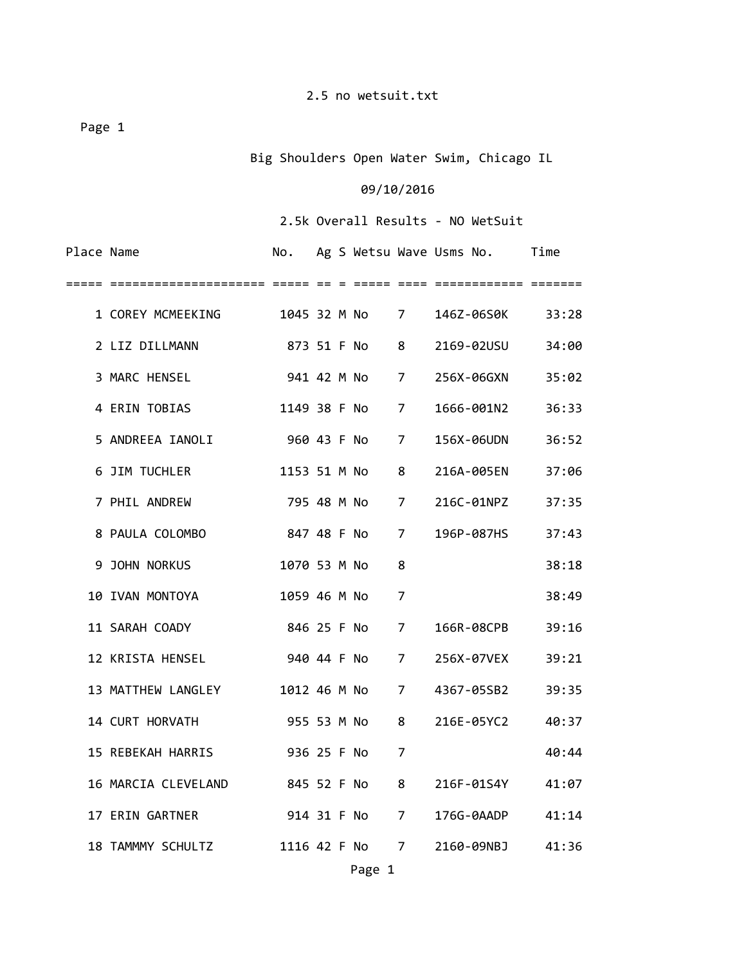Page 1

Big Shoulders Open Water Swim, Chicago IL

## 09/10/2016

2.5k Overall Results ‐ NO WetSuit

| Place Name |                     | No.          |  |              |                | Ag S Wetsu Wave Usms No. | Time  |
|------------|---------------------|--------------|--|--------------|----------------|--------------------------|-------|
|            |                     |              |  |              |                |                          |       |
|            |                     |              |  |              |                | 146Z-06S0K               | 33:28 |
|            | 2 LIZ DILLMANN      |              |  | 873 51 F No  | 8              | 2169-02USU               | 34:00 |
|            | 3 MARC HENSEL       |              |  | 941 42 M No  | $\overline{7}$ | 256X-06GXN               | 35:02 |
|            | 4 ERIN TOBIAS       |              |  | 1149 38 F No | $\overline{7}$ | 1666-001N2               | 36:33 |
|            | 5 ANDREEA IANOLI    |              |  | 960 43 F No  | 7              | 156X-06UDN               | 36:52 |
|            | 6 JIM TUCHLER       |              |  | 1153 51 M No | 8              | 216A-005EN               | 37:06 |
|            | 7 PHIL ANDREW       |              |  | 795 48 M No  | 7              | 216C-01NPZ               | 37:35 |
|            | 8 PAULA COLOMBO     |              |  | 847 48 F No  | 7              | 196P-087HS               | 37:43 |
|            | 9 JOHN NORKUS       | 1070 53 M No |  |              | 8              |                          | 38:18 |
|            | 10 IVAN MONTOYA     | 1059 46 M No |  |              | 7              |                          | 38:49 |
|            | 11 SARAH COADY      |              |  | 846 25 F No  | $\overline{7}$ | 166R-08CPB               | 39:16 |
|            | 12 KRISTA HENSEL    |              |  | 940 44 F No  | $\overline{7}$ | 256X-07VEX               | 39:21 |
|            | 13 MATTHEW LANGLEY  |              |  | 1012 46 M No | $7^{\circ}$    | 4367-05SB2               | 39:35 |
|            | 14 CURT HORVATH     |              |  | 955 53 M No  | 8              | 216E-05YC2               | 40:37 |
|            | 15 REBEKAH HARRIS   |              |  | 936 25 F No  | 7              |                          | 40:44 |
|            | 16 MARCIA CLEVELAND |              |  | 845 52 F No  | 8              | 216F-01S4Y               | 41:07 |
|            | 17 ERIN GARTNER     |              |  | 914 31 F No  | 7              | 176G-0AADP               | 41:14 |
|            | 18 TAMMMY SCHULTZ   |              |  | 1116 42 F No | 7              | 2160-09NBJ               | 41:36 |
|            |                     |              |  |              |                |                          |       |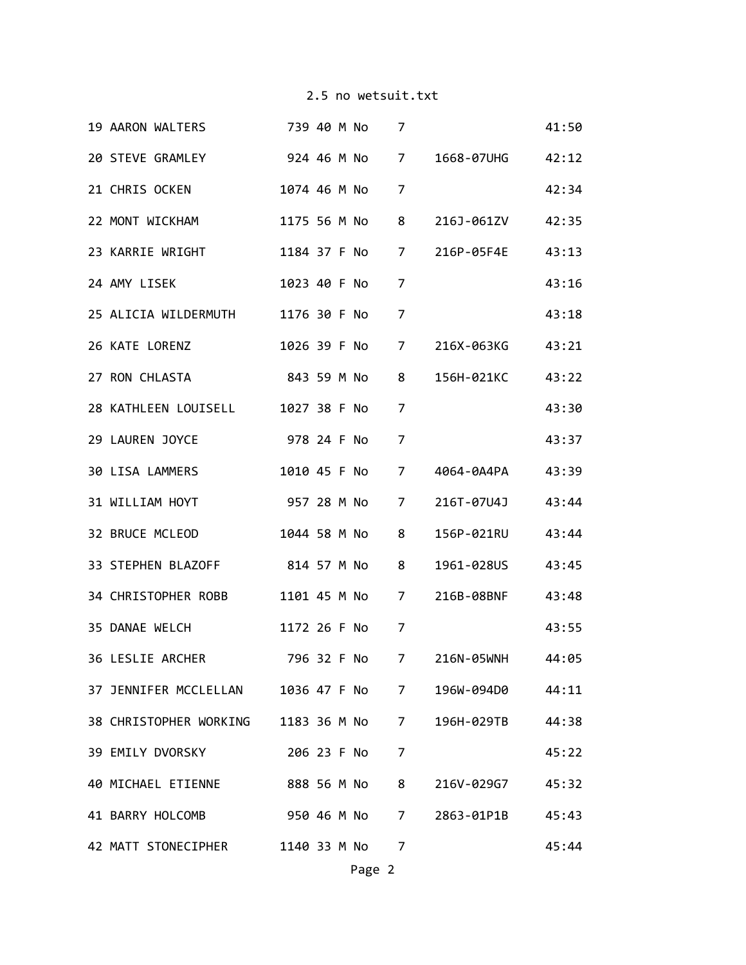|  | 19 AARON WALTERS 739 40 M No                          |  |                | 7              |                                 | 41:50 |
|--|-------------------------------------------------------|--|----------------|----------------|---------------------------------|-------|
|  | 20 STEVE GRAMLEY                                      |  | 924 46 M No 7  |                | 1668-07UHG 42:12                |       |
|  | 21 CHRIS OCKEN                                        |  | 1074 46 M No   | $\overline{7}$ |                                 | 42:34 |
|  | 22 MONT WICKHAM                                       |  | 1175 56 M No   | $8 -$          | 216J-061ZV 42:35                |       |
|  | 23 KARRIE WRIGHT 1184 37 F No                         |  |                |                | 7 216P-05F4E 43:13              |       |
|  | 24 AMY LISEK                                          |  | 1023 40 F No   | 7              |                                 | 43:16 |
|  | 25 ALICIA WILDERMUTH 1176 30 F No                     |  |                | 7              |                                 | 43:18 |
|  | 26 KATE LORENZ                                        |  |                |                | 1026 39 F No 7 216X-063KG 43:21 |       |
|  | 27 RON CHLASTA                                        |  | 843 59 M No    | 8              | 156H-021KC 43:22                |       |
|  | 28 KATHLEEN LOUISELL 1027 38 F No                     |  |                | $\overline{7}$ |                                 | 43:30 |
|  | 29 LAUREN JOYCE                                       |  | 978 24 F No    | $\overline{7}$ |                                 | 43:37 |
|  | 30 LISA LAMMERS 1010 45 F No                          |  |                |                | 7 4064-0A4PA 43:39              |       |
|  | 31 WILLIAM HOYT                                       |  | 957 28 M No    | $7 \quad$      | 216T-07U4J                      | 43:44 |
|  | 32 BRUCE MCLEOD 1044 58 M No 8                        |  |                |                | 156P-021RU                      | 43:44 |
|  | 33 STEPHEN BLAZOFF 814 57 M No 8                      |  |                |                | 1961-028US                      | 43:45 |
|  | 34 CHRISTOPHER ROBB                                   |  | 1101 45 M No 7 |                | 216B-08BNF                      | 43:48 |
|  | 35 DANAE WELCH                                        |  | 1172 26 F No   | 7              |                                 | 43:55 |
|  | 36 LESLIE ARCHER                                      |  |                |                | 796 32 F No 7 216N-05WNH        | 44:05 |
|  | 37 JENNIFER MCCLELLAN 1036 47 F No 7 196W-094D0 44:11 |  |                |                |                                 |       |
|  | 38 CHRISTOPHER WORKING 1183 36 M No 7                 |  |                |                | 196H-029TB 44:38                |       |
|  | 39 EMILY DVORSKY                                      |  | 206 23 F No    | 7              |                                 | 45:22 |
|  | 40 MICHAEL ETIENNE 888 56 M No                        |  |                | 8              | 216V-029G7                      | 45:32 |
|  | 41 BARRY HOLCOMB 950 46 M No                          |  |                | 7              | 2863-01P1B 45:43                |       |
|  | 42 MATT STONECIPHER 1140 33 M No                      |  |                | 7              |                                 | 45:44 |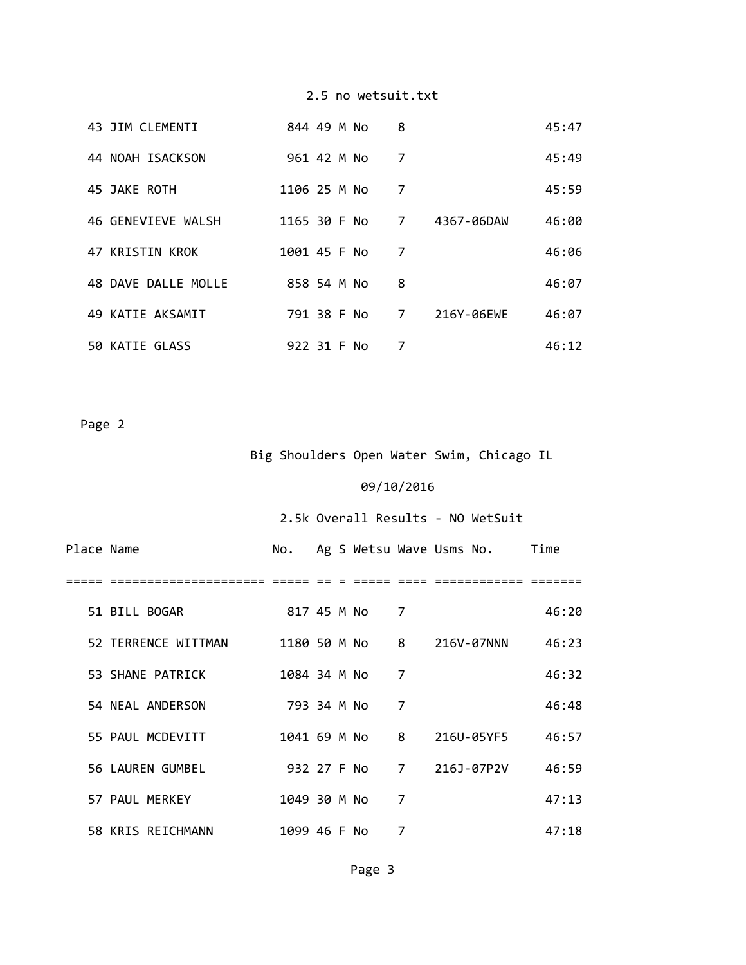|  | 43 JIM CLEMENTI     | 844 49 M No  |  | 8              |            | 45:47 |
|--|---------------------|--------------|--|----------------|------------|-------|
|  | 44 NOAH ISACKSON    | 961 42 M No  |  | 7              |            | 45:49 |
|  | 45 JAKE ROTH        | 1106 25 M No |  | 7              |            | 45:59 |
|  | 46 GENEVIEVE WALSH  | 1165 30 F No |  | 7              | 4367-06DAW | 46:00 |
|  | 47 KRISTIN KROK     | 1001 45 F No |  | 7              |            | 46:06 |
|  | 48 DAVE DALLE MOLLE | 858 54 M No  |  | 8              |            | 46:07 |
|  | 49 KATIE AKSAMIT    | 791 38 F No  |  | $\overline{7}$ | 216Y-06EWE | 46:07 |
|  | 50 KATIE GLASS      | 922 31 F No  |  | 7              |            | 46:12 |

Page 2

# Big Shoulders Open Water Swim, Chicago IL

# 09/10/2016

# 2.5k Overall Results ‐ NO WetSuit

| Place Name |                     | No.          |  |             |   | Ag S Wetsu Wave Usms No.  | Time  |
|------------|---------------------|--------------|--|-------------|---|---------------------------|-------|
|            |                     |              |  |             |   |                           |       |
|            | 51 BILL BOGAR       | 817 45 M No  |  |             | 7 |                           | 46:20 |
|            | 52 TERRENCE WITTMAN |              |  |             |   | 1180 50 M No 8 216V-07NNN | 46:23 |
|            | 53 SHANE PATRICK    | 1084 34 M No |  |             | 7 |                           | 46:32 |
|            | 54 NEAL ANDERSON    | 793 34 M No  |  |             | 7 |                           | 46:48 |
|            | 55 PAUL MCDEVITT    |              |  |             |   | 1041 69 M No 8 216U-05YF5 | 46:57 |
|            | 56 LAUREN GUMBEL    |              |  | 932 27 F No |   | 7 216J-07P2V              | 46:59 |
|            | 57 PAUL MERKEY      | 1049 30 M No |  |             | 7 |                           | 47:13 |
|            | 58 KRIS REICHMANN   | 1099 46 F No |  |             | 7 |                           | 47:18 |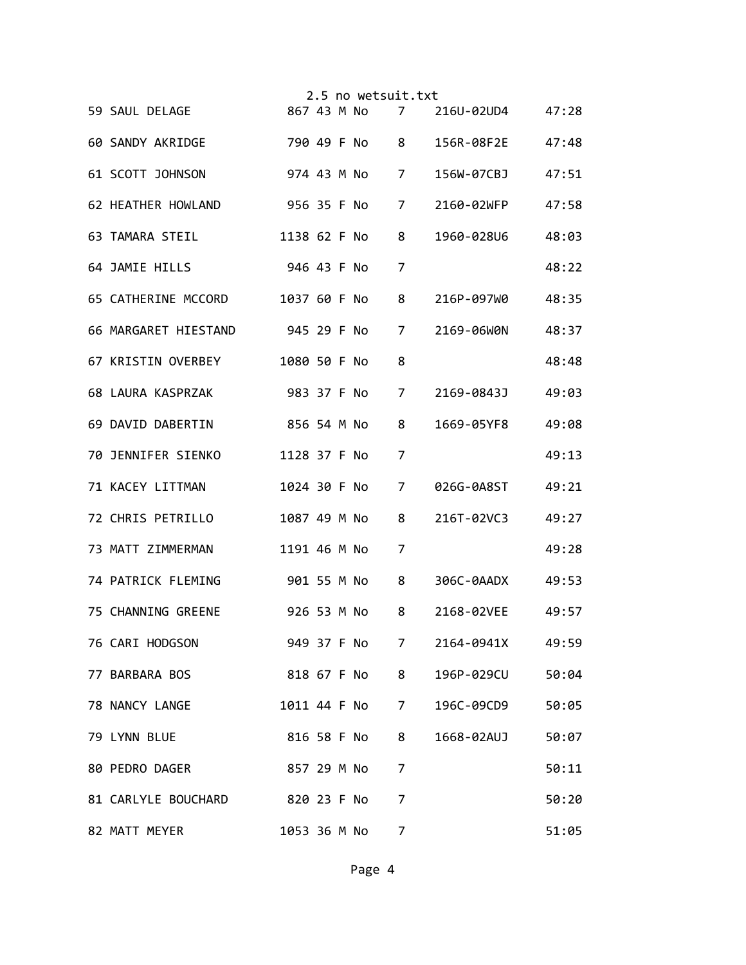|  |                                    |              |  | 2.5 no wetsuit.txt |   |                  |       |
|--|------------------------------------|--------------|--|--------------------|---|------------------|-------|
|  | 59 SAUL DELAGE                     |              |  | 867 43 M No        | 7 | 216U-02UD4 47:28 |       |
|  | 60 SANDY AKRIDGE                   |              |  | 790 49 F No 8      |   | 156R-08F2E       | 47:48 |
|  | 61 SCOTT JOHNSON                   |              |  | 974 43 M No 7      |   | 156W-07CBJ       | 47:51 |
|  | 62 HEATHER HOWLAND                 |              |  | 956 35 F No        | 7 | 2160-02WFP       | 47:58 |
|  | 63 TAMARA STEIL                    |              |  | 1138 62 F No       | 8 | 1960-028U6       | 48:03 |
|  | 64 JAMIE HILLS                     |              |  | 946 43 F No        | 7 |                  | 48:22 |
|  | 65 CATHERINE MCCORD                |              |  | 1037 60 F No       | 8 | 216P-097W0       | 48:35 |
|  | 66 MARGARET HIESTAND               |              |  | 945 29 F No        | 7 | 2169-06W0N       | 48:37 |
|  | 67 KRISTIN OVERBEY                 |              |  | 1080 50 F No       | 8 |                  | 48:48 |
|  | 68 LAURA KASPRZAK                  |              |  | 983 37 F No        | 7 | 2169-0843J       | 49:03 |
|  | 69 DAVID DABERTIN                  |              |  | 856 54 M No        | 8 | 1669-05YF8       | 49:08 |
|  | 70 JENNIFER SIENKO 1128 37 F No    |              |  |                    | 7 |                  | 49:13 |
|  | 71 KACEY LITTMAN                   |              |  | 1024 30 F No       | 7 | 026G-0A8ST       | 49:21 |
|  | 72 CHRIS PETRILLO                  |              |  | 1087 49 M No       | 8 | 216T-02VC3       | 49:27 |
|  | 73 MATT ZIMMERMAN                  |              |  | 1191 46 M No       | 7 |                  | 49:28 |
|  | 74 PATRICK FLEMING                 |              |  | 901 55 M No        | 8 | 306C-0AADX       | 49:53 |
|  | 75 CHANNING GREENE                 |              |  | 926 53 M No        | 8 | 2168-02VEE       | 49:57 |
|  | 76 CARI HODGSON                    |              |  | 949 37 F No        | 7 | 2164-0941X       | 49:59 |
|  | 77 BARBARA BOS                     |              |  | 818 67 F No 8      |   | 196P-029CU       | 50:04 |
|  | 78 NANCY LANGE                     |              |  | 1011 44 F No       | 7 | 196C-09CD9       | 50:05 |
|  | 79 LYNN BLUE                       |              |  | 816 58 F No        | 8 | 1668-02AUJ       | 50:07 |
|  | 80 PEDRO DAGER                     | 857 29 M No  |  |                    | 7 |                  | 50:11 |
|  | 81 CARLYLE BOUCHARD<br>820 23 F No |              |  |                    | 7 |                  | 50:20 |
|  | 82 MATT MEYER                      | 1053 36 M No |  |                    | 7 |                  | 51:05 |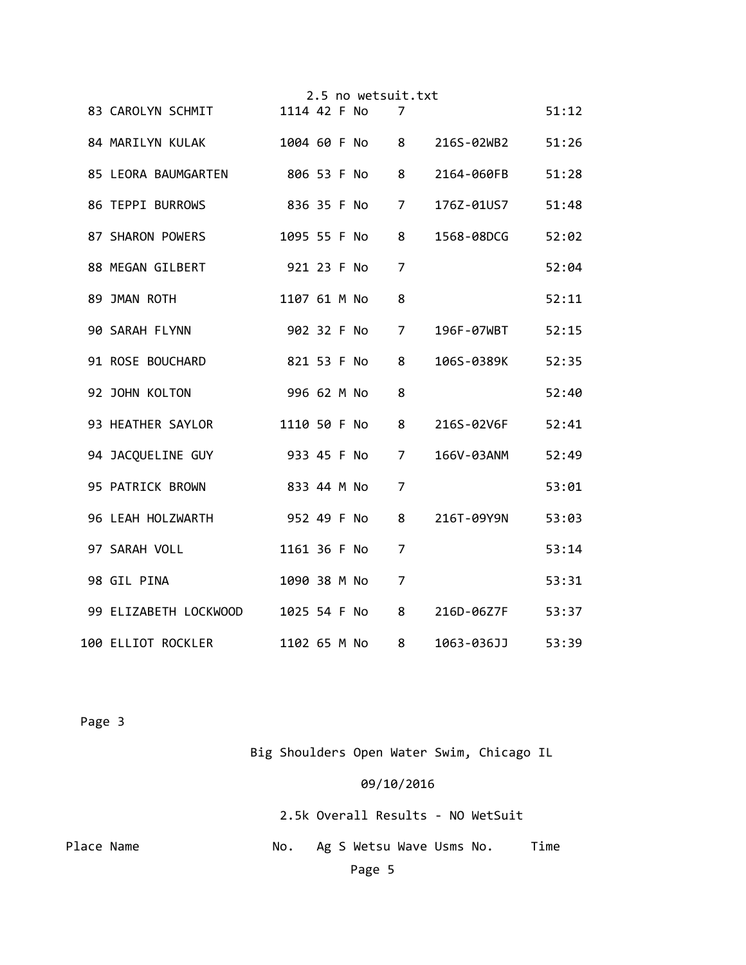|                                  |              |  | 2.5 no wetsuit.txt |                |                           |       |
|----------------------------------|--------------|--|--------------------|----------------|---------------------------|-------|
| 83 CAROLYN SCHMIT                | 1114 42 F No |  |                    | 7              |                           | 51:12 |
| 84 MARILYN KULAK                 |              |  |                    |                | 1004 60 F No 8 216S-02WB2 | 51:26 |
| 85 LEORA BAUMGARTEN 806 53 F No  |              |  |                    | 8              | 2164-060FB                | 51:28 |
| 86 TEPPI BURROWS                 |              |  | 836 35 F No        | $\overline{7}$ | 176Z-01US7                | 51:48 |
| 87 SHARON POWERS                 |              |  | 1095 55 F No       | 8              | 1568-08DCG                | 52:02 |
| 88 MEGAN GILBERT                 | 921 23 F No  |  |                    | 7              |                           | 52:04 |
| 89 JMAN ROTH                     | 1107 61 M No |  |                    | 8              |                           | 52:11 |
| 90 SARAH FLYNN                   | 902 32 F No  |  |                    | $\overline{7}$ | 196F-07WBT                | 52:15 |
| 91 ROSE BOUCHARD                 | 821 53 F No  |  |                    | 8              | 106S-0389K                | 52:35 |
| 92 JOHN KOLTON                   | 996 62 M No  |  |                    | 8              |                           | 52:40 |
| 93 HEATHER SAYLOR                | 1110 50 F No |  |                    | 8              | 216S-02V6F                | 52:41 |
| 933 45 F No<br>94 JACQUELINE GUY |              |  |                    | $\overline{7}$ | 166V-03ANM 52:49          |       |
| 95 PATRICK BROWN                 | 833 44 M No  |  |                    | $\overline{7}$ |                           | 53:01 |
| 96 LEAH HOLZWARTH<br>952 49 F No |              |  |                    | 8              | 216T-09Y9N                | 53:03 |
| 97 SARAH VOLL                    | 1161 36 F No |  |                    | 7              |                           | 53:14 |
| 98 GIL PINA                      |              |  | 1090 38 M No       | 7              |                           | 53:31 |
| 99 ELIZABETH LOCKWOOD            |              |  | 1025 54 F No       | 8              | 216D-06Z7F                | 53:37 |
| 100 ELLIOT ROCKLER               | 1102 65 M No |  |                    | 8              | 1063-036JJ                | 53:39 |

Page 3

Big Shoulders Open Water Swim, Chicago IL

## 09/10/2016

 2.5k Overall Results ‐ NO WetSuit Place Name  $\begin{array}{ccc} \sim & \sim & \sim & \sim \end{array}$  No. Ag S Wetsu Wave Usms No. Time Page 5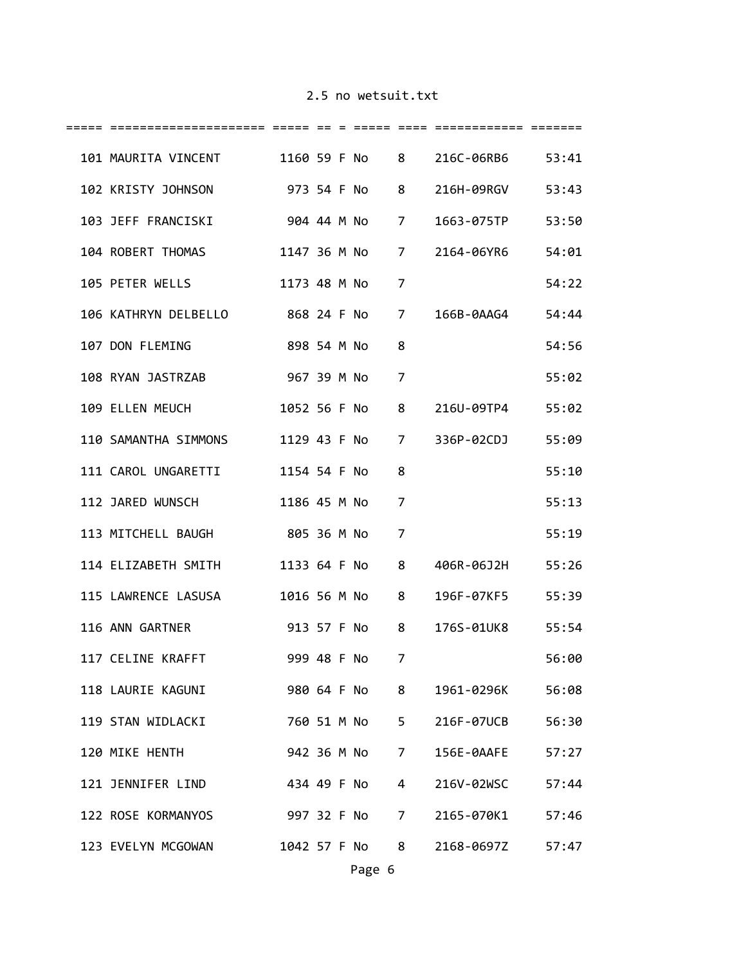| 101 MAURITA VINCENT 1160 59 F No 8 216C-06RB6 53:41 |                |  |               |   |                                |       |
|-----------------------------------------------------|----------------|--|---------------|---|--------------------------------|-------|
| 102 KRISTY JOHNSON 973 54 F No 8 216H-09RGV 53:43   |                |  |               |   |                                |       |
| 103 JEFF FRANCISKI                                  |                |  |               |   | 904 44 M No 7 1663-075TP       | 53:50 |
| 104 ROBERT THOMAS                                   |                |  |               |   | 1147 36 M No 7 2164-06YR6      | 54:01 |
| 105 PETER WELLS 1173 48 M No                        |                |  |               | 7 |                                | 54:22 |
| 106 KATHRYN DELBELLO 868 24 F No                    |                |  |               |   | 7 166B-0AAG4 54:44             |       |
| 107 DON FLEMING 898 54 M No                         |                |  |               | 8 |                                | 54:56 |
| 967 39 M No<br>108 RYAN JASTRZAB                    |                |  |               | 7 |                                | 55:02 |
| 109 ELLEN MEUCH 1052 56 F No 8 216U-09TP4 55:02     |                |  |               |   |                                |       |
| 110 SAMANTHA SIMMONS                                |                |  |               |   | 1129 43 F No 7 336P-02CDJ      | 55:09 |
| 111 CAROL UNGARETTI 1154 54 F No                    |                |  |               | 8 |                                | 55:10 |
| 112 JARED WUNSCH 1186 45 M No                       |                |  |               | 7 |                                | 55:13 |
| 113 MITCHELL BAUGH                                  | 805 36 M No    |  |               | 7 |                                | 55:19 |
| 114 ELIZABETH SMITH                                 | 1133 64 F No   |  |               | 8 | 406R-06J2H 55:26               |       |
| 115 LAWRENCE LASUSA                                 | 1016 56 M No 8 |  |               |   | 196F-07KF5 55:39               |       |
| 116 ANN GARTNER<br>913 57 F No 8                    |                |  |               |   | 176S-01UK8 55:54               |       |
| 117 CELINE KRAFFT                                   | 999 48 F No    |  |               | 7 |                                | 56:00 |
| 118 LAURIE KAGUNI                                   |                |  |               |   | 980 64 F No 8 1961-0296K 56:08 |       |
| 119 STAN WIDLACKI                                   |                |  |               |   | 760 51 M No 5 216F-07UCB       | 56:30 |
| 120 MIKE HENTH                                      |                |  | 942 36 M No 7 |   | 156E-0AAFE                     | 57:27 |
| 121 JENNIFER LIND                                   |                |  | 434 49 F No 4 |   | 216V-02WSC                     | 57:44 |
| 122 ROSE KORMANYOS                                  |                |  |               |   | 997 32 F No 7 2165-070K1 57:46 |       |
| 123 EVELYN MCGOWAN 1042 57 F No 8                   |                |  |               |   | 2168-0697Z 57:47               |       |
|                                                     |                |  |               |   |                                |       |

Page 6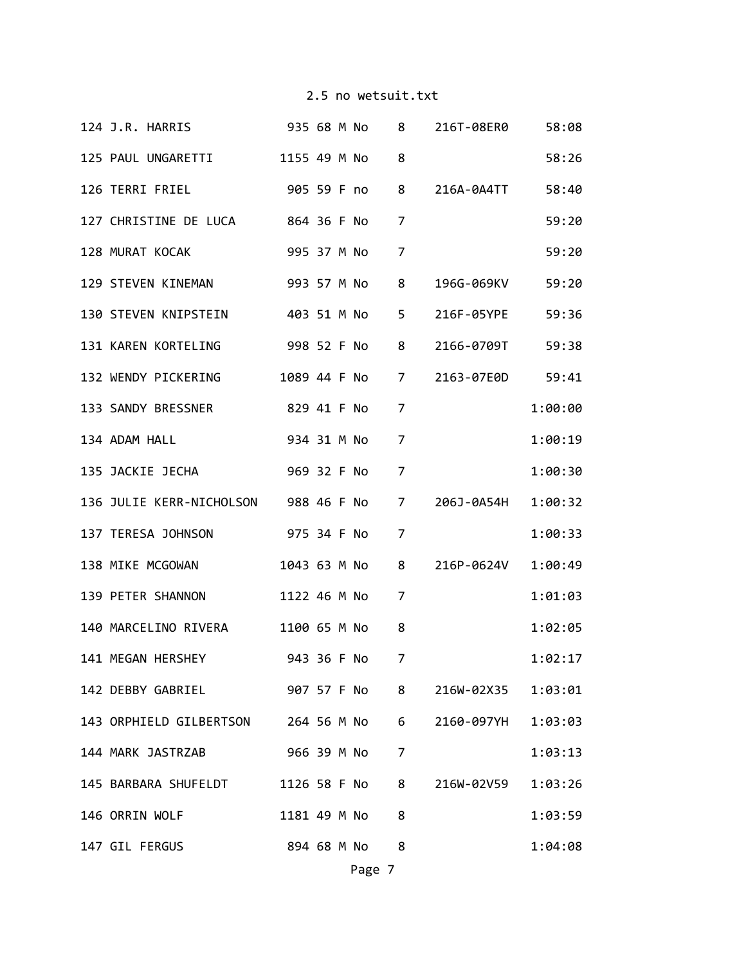| 124 J.R. HARRIS                         935 68 M No       8     216T-08ER0 |             |  |                |                  | 58:08   |
|----------------------------------------------------------------------------|-------------|--|----------------|------------------|---------|
| 125 PAUL UNGARETTI 1155 49 M No 8                                          |             |  |                |                  | 58:26   |
| 126 TERRI FRIEL 905 59 F no 8 216A-0A4TT 58:40                             |             |  |                |                  |         |
| 127 CHRISTINE DE LUCA 864 36 F No                                          |             |  | 7              |                  | 59:20   |
| 128 MURAT KOCAK 995 37 M No                                                |             |  | $\overline{7}$ |                  | 59:20   |
| 129 STEVEN KINEMAN 993 57 M No 8                                           |             |  |                | 196G-069KV 59:20 |         |
| 130 STEVEN KNIPSTEIN 403 51 M No 5 216F-05YPE 59:36                        |             |  |                |                  |         |
| 131 KAREN KORTELING  998 52 F No 8 2166-0709T  59:38                       |             |  |                |                  |         |
| 132 WENDY PICKERING 1089 44 F No 7 2163-07E0D 59:41                        |             |  |                |                  |         |
| 133 SANDY BRESSNER 829 41 F No                                             |             |  | 7              |                  | 1:00:00 |
| 134 ADAM HALL                                                              | 934 31 M No |  | 7              |                  | 1:00:19 |
|                                                                            |             |  | $\overline{7}$ |                  | 1:00:30 |
| 136 JULIE KERR-NICHOLSON 988 46 F No 7 206J-0A54H 1:00:32                  |             |  |                |                  |         |
| 137 TERESA JOHNSON 975 34 F No                                             |             |  | 7              |                  | 1:00:33 |
| 138 MIKE MCGOWAN 1043 63 M No 8 216P-0624V 1:00:49                         |             |  |                |                  |         |
| 139 PETER SHANNON 1122 46 M No                                             |             |  | 7              |                  | 1:01:03 |
| 140 MARCELINO RIVERA 1100 65 M No 8                                        |             |  |                |                  | 1:02:05 |
| 141 MEGAN HERSHEY                                                          |             |  | 943 36 F No 7  |                  | 1:02:17 |
| 142 DEBBY GABRIEL 907 57 F No 8 216W-02X35 1:03:01                         |             |  |                |                  |         |
| 143 ORPHIELD GILBERTSON 264 56 M No 6 2160-097YH 1:03:03                   |             |  |                |                  |         |
| 144 MARK JASTRZAB                                                          | 966 39 M No |  | $\overline{7}$ |                  | 1:03:13 |
| 145 BARBARA SHUFELDT 1126 58 F No 8 216W-02V59                             |             |  |                |                  | 1:03:26 |
| 146 ORRIN WOLF 1181 49 M No                                                |             |  | 8              |                  | 1:03:59 |
| 147 GIL FERGUS                                                             | 894 68 M No |  | 8              |                  | 1:04:08 |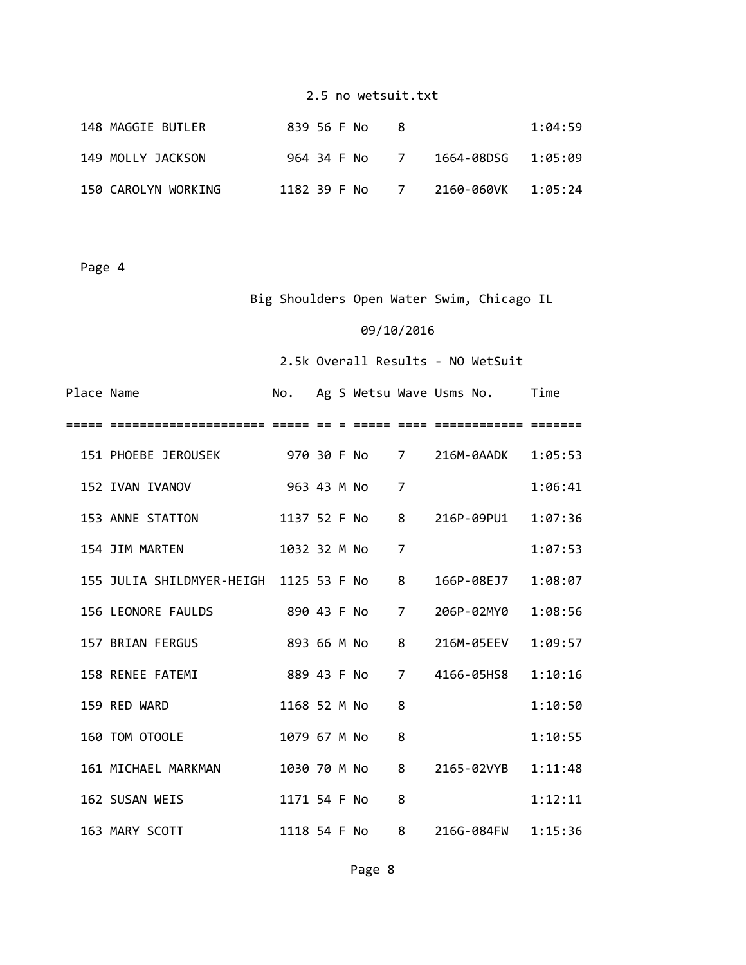| 148 MAGGIE BUTLER   | 839 56 F No  |                |                    | 1:04:59 |
|---------------------|--------------|----------------|--------------------|---------|
| 149 MOLLY JACKSON   | 964 34 F No  | $\overline{I}$ | 1664-08DSG 1:05:09 |         |
| 150 CAROLYN WORKING | 1182 39 F No | $\overline{7}$ | 2160-060VK 1:05:24 |         |

Page 4

# Big Shoulders Open Water Swim, Chicago IL

## 09/10/2016

# 2.5k Overall Results ‐ NO WetSuit

| Place Name |                                                       |              |  |             |                | No. Ag S Wetsu Wave Usms No. Time |         |
|------------|-------------------------------------------------------|--------------|--|-------------|----------------|-----------------------------------|---------|
|            |                                                       |              |  |             |                |                                   |         |
|            | 151 PHOEBE JEROUSEK 970 30 F No 7 216M-0AADK 1:05:53  |              |  |             |                |                                   |         |
|            | 152 IVAN IVANOV                                       | 963 43 M No  |  |             | $\overline{7}$ |                                   | 1:06:41 |
|            | 153 ANNE STATTON<br>1137 52 F No                      |              |  |             |                | 8 216P-09PU1 1:07:36              |         |
|            | 154 JIM MARTEN 1032 32 M No                           |              |  |             | 7              |                                   | 1:07:53 |
|            | 155 JULIA SHILDMYER-HEIGH 1125 53 F No                |              |  |             | 8              | 166P-08EJ7                        | 1:08:07 |
|            | 156 LEONORE FAULDS 890 43 F No                        |              |  |             |                | 7 206P-02MY0                      | 1:08:56 |
|            | 157 BRIAN FERGUS                                      |              |  | 893 66 M No | 8              | 216M-05EEV                        | 1:09:57 |
|            | 158 RENEE FATEMI                                      |              |  | 889 43 F No |                | 7 4166-05HS8                      | 1:10:16 |
|            | 159 RED WARD                                          | 1168 52 M No |  |             | 8              |                                   | 1:10:50 |
|            | 160 TOM OTOOLE                                        | 1079 67 M No |  |             | 8              |                                   | 1:10:55 |
|            | 161 MICHAEL MARKMAN 1030 70 M No 8 2165-02VYB 1:11:48 |              |  |             |                |                                   |         |
|            | 162 SUSAN WEIS                                        | 1171 54 F No |  |             | 8              |                                   | 1:12:11 |
|            | 163 MARY SCOTT 4118 54 F No 8 216G-084FW 1:15:36      |              |  |             |                |                                   |         |